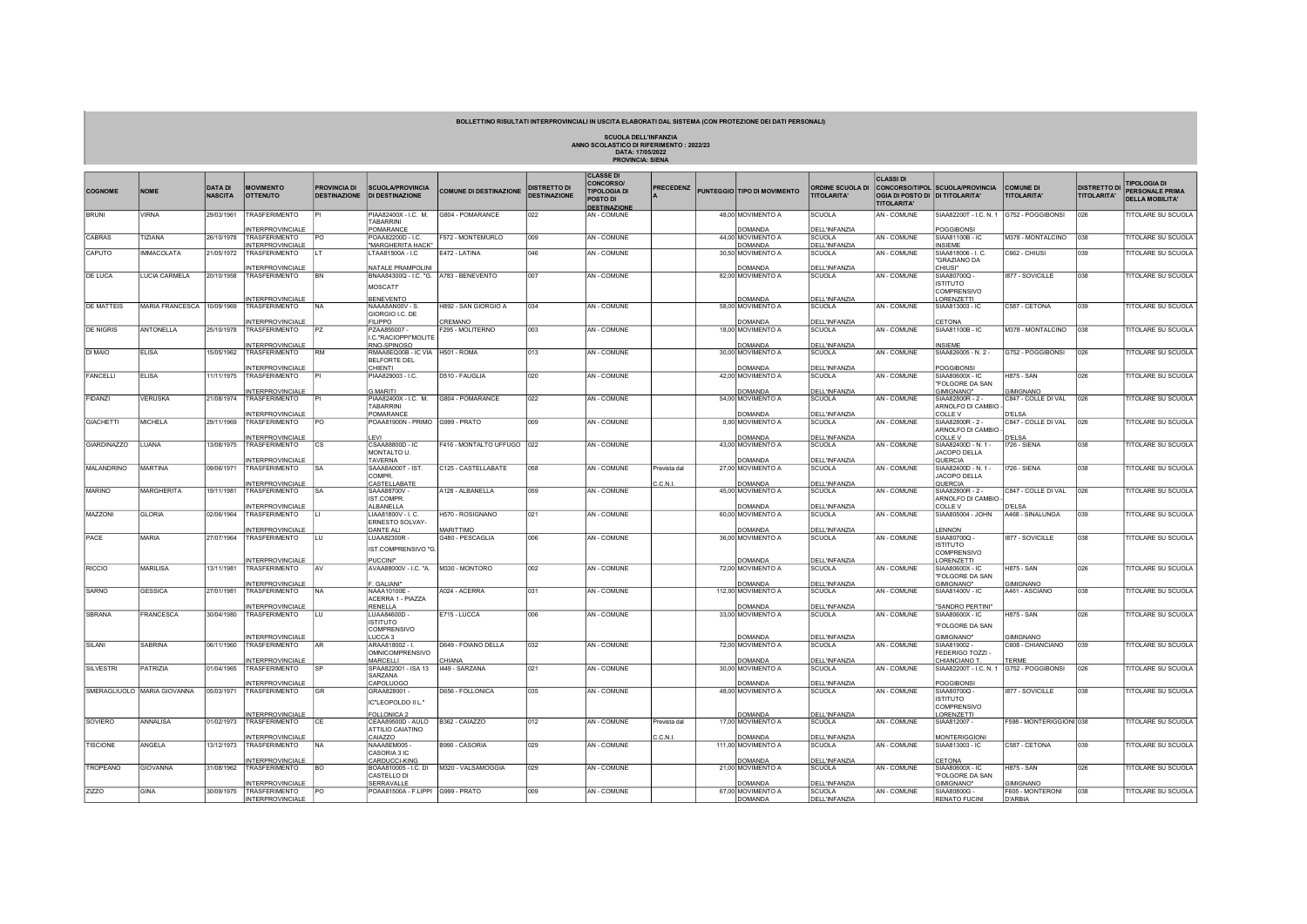## BOLLETTINO RISULTATI INTERPROVINCIALI IN USCITA ELABORATI DAL SISTEMA (CON PROTEZIONE DEI DATI PERSONALI)

SCUOLA DELL'INFANZIA ANNO SCOLASTICO DI RIFERIMENTO : 2022/23

| DATA: 17/05/2022        |  |
|-------------------------|--|
| <b>PROVINCIA: SIENA</b> |  |
|                         |  |

| <b>COGNOME</b>     | <b>NOME</b>                 | <b>DATA DI</b><br><b>NASCITA</b> | <b>MOVIMENTO</b><br><b>OTTENUTO</b>             | <b>PROVINCIA DI</b><br><b>DESTINAZIONE</b> | <b>SCUOLA/PROVINCIA</b><br><b>DI DESTINAZIONE</b>                        | <b>COMUNE DI DESTINAZIONE</b>   | <b>DISTRETTO DI</b><br><b>DESTINAZIONE</b> | <b>CLASSE DI</b><br><b>CONCORSO/</b><br><b>TIPOLOGIA DI</b><br>POSTO DI<br><b>DESTINAZIONE</b> | <b>PRECEDENZ</b> | PUNTEGGIO TIPO DI MOVIMENTO         | <b>ORDINE SCUOLA DI</b><br><b>TITOLARITA</b> | <b>CLASSIDI</b><br>OGIA DI POSTO DI DI TITOLARITA'<br><b>TITOLARITA'</b> | <b>CONCORSO/TIPOL SCUOLA/PROVINCIA</b>                              | <b>COMUNE DI</b><br><b>TITOLARITA'</b> | <b>DISTRETTO DI</b><br><b>TITOLARITA'</b> | <b>IPOLOGIA DI</b><br><b>PERSONALE PRIMA</b><br><b>DELLA MOBILITA'</b> |
|--------------------|-----------------------------|----------------------------------|-------------------------------------------------|--------------------------------------------|--------------------------------------------------------------------------|---------------------------------|--------------------------------------------|------------------------------------------------------------------------------------------------|------------------|-------------------------------------|----------------------------------------------|--------------------------------------------------------------------------|---------------------------------------------------------------------|----------------------------------------|-------------------------------------------|------------------------------------------------------------------------|
| <b>BRUNI</b>       | <b>VIRNA</b>                | 29/03/1961                       | <b>TRASFERIMENTO</b>                            |                                            | PIAA82400X - I.C. M.<br><b>TABARRINI</b>                                 | G804 - POMARANCE                | 022                                        | AN - COMUNE                                                                                    |                  | 48,00 MOVIMENTO A<br>DOMANDA        | <b>SCUOLA</b>                                | AN - COMUNE                                                              | SIAA82200T - I.C. N. 1 G752 - POGGIBONSI                            |                                        | 026                                       | <b>ITOLARE SU SCUOLA</b>                                               |
| CABRAS             | TIZIANA                     | 26/10/1978                       | <b>INTERPROVINCIALE</b><br>TRASFERIMENTO        | PO.                                        | POMARANCE<br>POAA82200D - I.C.                                           | F572 - MONTEMURLO               | 009                                        | AN - COMUNE                                                                                    |                  | 44,00 MOVIMENTO A                   | <b>DELL'INFANZIA</b><br><b>SCUOLA</b>        | AN - COMUNE                                                              | POGGIBONSI<br>SIAA81100B - IC                                       | M378 - MONTALCINO                      | 038                                       | <b>ITOLARE SU SCUOLA</b>                                               |
| CAPUTO             | <b>IMMACOLATA</b>           | 21/05/1972                       | INTERPROVINCIALE<br>TRASFERIMENTO               | lι T                                       | "MARGHERITA HACK"<br>LTAA81500A - I.C                                    | E472 - LATINA                   | 046                                        | AN - COMUNE                                                                                    |                  | DOMANDA<br>30,50 MOVIMENTO A        | DELL'INFANZIA<br><b>SCUOLA</b>               | AN - COMUNE                                                              | <b>INSIEME</b><br>SIAA818006 - I. C.<br>"GRAZIANO DA                | C662 - CHIUSI                          | 039                                       | TITOLARE SU SCUOLA                                                     |
| <b>DE LUCA</b>     | LUCIA CARMELA               | 20/10/1958                       | <b>INTERPROVINCIALE</b>                         | BN                                         | NATALE PRAMPOLIN                                                         |                                 | 007                                        | AN - COMUNE                                                                                    |                  | DOMANDA                             | <b>DELL'INFANZIA</b><br><b>SCUOLA</b>        |                                                                          | CHIUSI"                                                             |                                        | 038                                       | TITOLARE SU SCUOLA                                                     |
|                    |                             |                                  | TRASFERIMENTO<br><b>INTERPROVINCIALE</b>        |                                            | BNAA84300Q - I.C. "G.   A783 - BENEVENTO<br>MOSCATI"<br><b>BENEVENTO</b> |                                 |                                            |                                                                                                |                  | 82,00 MOVIMENTO A<br><b>DOMANDA</b> | DELL'INFANZIA                                | AN - COMUNE                                                              | SIAA80700Q -<br><b>ISTITUTO</b><br><b>COMPRENSIVO</b><br>LORENZETTI | 1877 - SOVICILLE                       |                                           |                                                                        |
| <b>DE MATTEIS</b>  | <b>MARIA FRANCESCA</b>      | 10/09/1969                       | <b>TRASFERIMENTO</b><br>INTERPROVINCIALE        | NA.                                        | NAAA8AN00V - S.<br>GIORGIO I.C. DE<br><b>FILIPPO</b>                     | H892 - SAN GIORGIO A<br>CREMANO | 034                                        | AN - COMUNE                                                                                    |                  | 58,00 MOVIMENTO A<br>DOMANDA        | <b>SCUOLA</b><br><b>DELL'INFANZIA</b>        | AN - COMUNE                                                              | SIAA813003 - IC<br>CETONA                                           | C587 - CETONA                          | 039                                       | TITOLARE SU SCUOLA                                                     |
| <b>DE NIGRIS</b>   | <b>ANTONELLA</b>            | 25/10/1978                       | <b>TRASFERIMENTO</b>                            | PZ                                         | PZAA855007-                                                              | F295 - MOLITERNO                | 003                                        | AN - COMUNE                                                                                    |                  | 18,00 MOVIMENTO A                   | <b>SCUOLA</b>                                | <b>AN - COMUNE</b>                                                       | SIAA81100B - IC                                                     | M378 - MONTALCINO                      | 038                                       | <b>ITOLARE SU SCUOLA</b>                                               |
|                    |                             |                                  | NTERPROVINCIALE                                 |                                            | .C."RACIOPPI"MOLITE<br>RNO-SPINOSO                                       |                                 |                                            |                                                                                                |                  | <u>OMANDA</u>                       | <b>DELL'INFANZIA</b>                         |                                                                          | <b>INSIEME</b>                                                      |                                        |                                           |                                                                        |
| DI MAIO            | <b>ELISA</b>                | 15/05/1962                       | TRASFERIMENTO<br><b>INTERPROVINCIALE</b>        | <b>RM</b>                                  | RMAA8EQ00B - IC VIA H501 - ROMA<br><b>BELFORTE DEL</b><br>CHIENTI        |                                 | 013                                        | AN - COMUNE                                                                                    |                  | 30,00 MOVIMENTO A<br>DOMANDA        | <b>SCUOLA</b><br><b>DELL'INFANZIA</b>        | AN - COMUNE                                                              | SIAA826005 - N. 2 -<br>POGGIBONSI                                   | G752 - POGGIBONSI                      | 026                                       | TITOLARE SU SCUOLA                                                     |
| FANCELLI           | <b>ELISA</b>                | 11/11/1975                       | <b>TRASFERIMENTO</b>                            |                                            | PIAA829003 - I.C.                                                        | D510 - FAUGLIA                  | 020                                        | AN - COMUNE                                                                                    |                  | 42,00 MOVIMENTO A                   | <b>SCUOLA</b>                                | AN - COMUNE                                                              | SIAA80600X - IC                                                     | <b>H875 - SAN</b>                      | 026                                       | <b>ITOLARE SU SCUOLA</b>                                               |
|                    |                             |                                  | INTERPROVINCIALE                                |                                            | <b>MARITI</b>                                                            |                                 |                                            |                                                                                                |                  | DOMANDA                             | <b>DELL'INFANZIA</b>                         |                                                                          | "FOLGORE DA SAN<br>GIMIGNANO"                                       | GIMIGNANO                              |                                           |                                                                        |
| <b>FIDANZI</b>     | <b>VERUSKA</b>              | 21/08/1974                       | TRASFERIMENTO<br><b>INTERPROVINCIALE</b>        |                                            | PIAA82400X - I.C. M.<br>TABARRINI<br>POMARANCE                           | G804 - POMARANCE                | 022                                        | AN - COMUNE                                                                                    |                  | 54,00 MOVIMENTO A<br>DOMANDA        | <b>SCUOLA</b><br><b>DELL'INFANZIA</b>        | AN - COMUNE                                                              | SIAA82800R - 2 -<br>ARNOLFO DI CAMBIO<br>COLLE <sub>V</sub>         | C847 - COLLE DI VAL<br><b>D'ELSA</b>   | 026                                       | <b>ITOLARE SU SCUOLA</b>                                               |
| <b>GIACHETTI</b>   | <b>MICHELA</b>              | 29/11/1969                       | TRASFERIMENTO<br>NTERPROVINCIALE                | PO                                         | POAA81900N - PRIMO G999 - PRATO<br><b>FVI</b>                            |                                 | 009                                        | AN - COMUNE                                                                                    |                  | 0,00 MOVIMENTO A<br>DOMANDA         | <b>SCUOLA</b><br><b>DELL'INFANZIA</b>        | AN - COMUNE                                                              | SIAA82800R - 2 -<br>ARNOLFO DI CAMBIO<br>COLLE <sub>V</sub>         | C847 - COLLE DI VAL<br>D'ELSA          | 026                                       | <b>TITOLARE SU SCUOLA</b>                                              |
| <b>GIARDINAZZO</b> | LUANA                       | 13/08/1975                       | TRASFERIMENTO                                   | CS                                         | CSAA88800D - IC<br>MONTALTO U.                                           | F416 - MONTALTO UFFUGO   022    |                                            | AN - COMUNE                                                                                    |                  | 43,00 MOVIMENTO A<br><b>DOMANDA</b> | <b>SCUOLA</b>                                | AN - COMUNE                                                              | SIAA82400D - N. 1 -<br>JACOPO DELLA<br>QUERCIA                      | I726 - SIENA                           | 038                                       | TITOLARE SU SCUOLA                                                     |
| <b>MALANDRINO</b>  | <b>MARTINA</b>              | 09/06/1971                       | INTERPROVINCIALE<br>TRASFERIMENTO               | <b>SA</b>                                  | TAVERNA<br>SAAA8A000T - IST.<br>COMPR.                                   | C125 - CASTELLABATE             | 058                                        | AN - COMUNE                                                                                    | Prevista dal     | 27,00 MOVIMENTO A                   | <b>DELL'INFANZIA</b><br><b>SCUOLA</b>        | AN - COMUNE                                                              | SIAA82400D - N. 1 -<br>JACOPO DELLA                                 | I726 - SIENA                           | 038                                       | <b>ITOLARE SU SCUOLA</b>                                               |
| <b>MARINO</b>      | <b>MARGHERITA</b>           | 19/11/1981                       | <b>INTERPROVINCIALE</b><br>TRASFERIMENTO        | <b>SA</b>                                  | CA <u>STELLABATE</u><br>SAAA88700V -<br>IST.COMPR.                       | A128 - ALBANELLA                | 059                                        | AN - COMUNE                                                                                    | .C.N.I           | <b>DOMANDA</b><br>45,00 MOVIMENTO A | <b>DELL'INFANZIA</b><br><b>SCUOLA</b>        | <b>AN - COMUNE</b>                                                       | QUERCIA<br>SIAA82800R - 2 -<br>ARNOLFO DI CAMBIO                    | C847 - COLLE DI VAL                    | 026                                       | TITOLARE SU SCUOLA                                                     |
| MAZZONI            | <b>GLORIA</b>               | 02/06/1964                       | <b>INTERPROVINCIALE</b><br>TRASFERIMENTO        |                                            | ALBANELLA<br>LIAA81800V - I. C.                                          | H570 - ROSIGNANO                | 021                                        | AN - COMUNE                                                                                    |                  | <b>DOMANDA</b><br>60,00 MOVIMENTO A | <b>DELL'INFANZIA</b><br><b>SCUOLA</b>        | AN - COMUNE                                                              | COLLE V<br>SIAA805004 - JOHN                                        | <b>D'ELSA</b><br>A468 - SINALUNGA      | 039                                       | <b>ITOLARE SU SCUOLA</b>                                               |
|                    |                             |                                  | NTERPROVINCIALE                                 |                                            | ERNESTO SOLVAY-<br>DANTE ALI                                             | <b>MARITTIMO</b>                |                                            |                                                                                                |                  | <b>OMANDA</b>                       | <b>DELL'INFANZIA</b>                         |                                                                          | <b>FNNON</b>                                                        |                                        |                                           |                                                                        |
| PACE               | MARIA                       | 27/07/1964                       | TRASFERIMENTO                                   | ILU.                                       | LUAA82300R -<br>IST.COMPRENSIVO "G.                                      | G480 - PESCAGLIA                | 006                                        | AN - COMUNE                                                                                    |                  | 36,00 MOVIMENTO A                   | <b>SCUOLA</b>                                | AN - COMUNE                                                              | SIAA80700Q -<br><b>ISTITUTO</b><br>COMPRENSIVO                      | 1877 - SOVICILLE                       | 038                                       | TITOLARE SU SCUOLA                                                     |
| RICCIO             | MARILISA                    | 13/11/1981                       | <b>INTERPROVINCIALE</b><br><b>TRASFERIMENTO</b> | <b>AV</b>                                  | PUCCINI"<br>AVAA88000V - I.C. "A.                                        | M330 - MONTORO                  | 002                                        | AN - COMUNE                                                                                    |                  | <b>DOMANDA</b><br>72,00 MOVIMENTO A | <b>DELL'INFANZIA</b><br><b>SCUOLA</b>        | AN - COMUNE                                                              | LORENZETTI<br>SIAA80600X - IC                                       | <b>H875 - SAN</b>                      | 026                                       | TITOLARE SU SCUOLA                                                     |
|                    |                             |                                  | NTERPROVINCIALE                                 |                                            | GALIANI"                                                                 |                                 |                                            |                                                                                                |                  | <b>OMAND</b>                        | <b>DELL'INFANZIA</b>                         |                                                                          | <b>FOLGORE DA SAN</b><br>GIMIGNANO"                                 | <b>SIMIGNANO</b>                       |                                           |                                                                        |
| SARNO              | <b>GESSICA</b>              | 27/01/1981                       | TRASFERIMENTO                                   | INA.                                       | NAAA10100E -                                                             | A024 - ACERRA                   | 031                                        | AN - COMUNE                                                                                    |                  | 112,00 MOVIMENTO A                  | <b>SCUOLA</b>                                | AN - COMUNE                                                              | SIAA81400V - IC                                                     | A461 - ASCIANO                         | 038                                       | TITOLARE SU SCUOLA                                                     |
|                    |                             |                                  | INTERPROVINCIALE                                |                                            | ACERRA 1 - PIAZZA<br>RENELLA                                             |                                 |                                            |                                                                                                |                  | DOMANDA                             | <b>DELL'INFANZIA</b>                         |                                                                          | 'SANDRO PERTINI"                                                    |                                        |                                           |                                                                        |
| SBRANA             | FRANCESCA                   | 30/04/1980                       | TRASFERIMENTO                                   | ILU                                        | LUAA84600D -<br><b>ISTITUTO</b>                                          | E715 - LUCCA                    | 006                                        | AN - COMUNE                                                                                    |                  | 33,00 MOVIMENTO A                   | <b>SCUOLA</b>                                | AN - COMUNE                                                              | SIAA80600X - IC                                                     | <b>H875 - SAN</b>                      | 026                                       | TITOLARE SU SCUOLA                                                     |
|                    |                             |                                  | <b>INTERPROVINCIALE</b>                         |                                            | <b>COMPRENSIVO</b><br>LUCCA <sub>3</sub>                                 |                                 |                                            |                                                                                                |                  | <b>OMANDA</b>                       | <b>DELL'INFANZIA</b>                         |                                                                          | "FOLGORE DA SAN<br>GIMIGNANO"                                       | <b>GIMIGNANO</b>                       |                                           |                                                                        |
| SILANI             | <b>SABRINA</b>              | 06/11/1960                       | TRASFERIMENTO                                   | AR                                         | ARAA818002 - I.<br><b>OMNICOMPRENSIVO</b>                                | D649 - FOIANO DELLA             | 032                                        | AN - COMUNE                                                                                    |                  | 72,00 MOVIMENTO A                   | <b>SCUOLA</b>                                | AN - COMUNE                                                              | SIAA819002-<br>FEDERIGO TOZZI-                                      | C608 - CHIANCIANO                      | 039                                       | <b>ITOLARE SU SCUOLA</b>                                               |
| <b>SILVESTRI</b>   | PATRIZIA                    | 01/04/1965                       | INTERPROVINCIALE<br>TRASFERIMENTO               | SP                                         | MARCELLI<br>SPAA822001 - ISA 13                                          | <b>HIANA</b><br>1449 - SARZANA  | 021                                        | AN - COMUNE                                                                                    |                  | <b>DOMANDA</b><br>30,00 MOVIMENTO A | <b>DELL'INFANZIA</b><br><b>SCUOLA</b>        | AN - COMUNE                                                              | CHIANCIANO T.<br>SIAA82200T - I.C. N. 1 G752 - POGGIBONSI           | <b>FRMF</b>                            | 026                                       | <b>ITOLARE SU SCUOLA</b>                                               |
|                    |                             |                                  | INTERPROVINCIALE                                |                                            | SARZANA<br>CAPOLUOGO                                                     |                                 |                                            |                                                                                                |                  | DOMAND/                             | <b>DELL'INFANZIA</b>                         |                                                                          | <b>POGGIBONSI</b>                                                   |                                        |                                           |                                                                        |
|                    | SMERAGLIUOLO MARIA GIOVANNA | 05/03/197                        | TRASFERIMENTO                                   | <b>GR</b>                                  | GRAA828001-<br>IC"LEOPOLDO II L."                                        | D656 - FOLLONICA                | 035                                        | AN - COMUNE                                                                                    |                  | 48,00 MOVIMENTO A                   | <b>SCUOLA</b>                                | AN - COMUNE                                                              | SIAA80700Q -<br><b>ISTITUTO</b><br>COMPRENSIVO                      | 1877 - SOVICILLE                       | 038                                       | <b>ITOLARE SU SCUOLA</b>                                               |
| SOVIERO            | ANNALISA                    | 01/02/1973                       | INTERPROVINCIALE<br>TRASFERIMENTO               | CE                                         | FOLLONICA 2<br>CEAA89500D - AULO                                         | B362 - CAIAZZO                  | 012                                        | AN - COMUNE                                                                                    | Prevista dal     | DOMANDA<br>17,00 MOVIMENTO A        | <b>DELL'INFANZIA</b><br>SCUOLA               | AN - COMUNE                                                              | LORENZETTI<br>SIAA812007 -                                          | F598 - MONTERIGGIONI 038               |                                           | TITOLARE SU SCUOLA                                                     |
|                    |                             |                                  | <b>INTERPROVINCIALE</b>                         |                                            | ATTILIO CAIATINO<br>CAIAZZO                                              |                                 |                                            |                                                                                                | C.C.N.I.         | DOMANDA                             | DELL'INFANZIA                                |                                                                          | <b>MONTERIGGIONI</b>                                                |                                        |                                           |                                                                        |
| <b>TISCIONE</b>    | ANGELA                      | 13/12/1973                       | TRASFERIMENTO                                   | NA)                                        | NAAA8EM005 -<br>CASORIA 3 IC                                             | B990 - CASORIA                  | 029                                        | AN - COMUNE                                                                                    |                  | 111,00 MOVIMENTO A                  | <b>SCUOLA</b>                                | AN - COMUNE                                                              | SIAA813003 - IC                                                     | C587 - CETONA                          | 039                                       | TITOLARE SU SCUOLA                                                     |
| TROPEANO           | <b>GIOVANNA</b>             | 31/08/1962                       | INTERPROVINCIALE<br>TRASFERIMENTO               | BO.                                        | CARDUCCI-KING<br>BOAA810005 - I.C. DI<br>CASTELLO DI                     | M320 - VALSAMOGGIA              | 029                                        | AN - COMUNE                                                                                    |                  | DOMANDA<br>21,00 MOVIMENTO A        | DELL'INFANZIA<br><b>SCUOLA</b>               | AN - COMUNE                                                              | CETONA<br>SIAA80600X - IC<br>"FOLGORE DA SAN                        | <b>H875 - SAN</b>                      | 026                                       | TITOLARE SU SCUOLA                                                     |
|                    |                             |                                  | <b>INTERPROVINCIALE</b>                         |                                            | SERRAVALLE                                                               |                                 |                                            |                                                                                                |                  | <b>DOMANDA</b>                      | <b>DELL'INFANZIA</b>                         |                                                                          | GIMIGNANO"                                                          | <b>GIMIGNANO</b>                       |                                           |                                                                        |
| ZIZZO              | GINA                        | 30/09/1975                       | TRASFERIMENTO<br><b>INTERPROVINCIALE</b>        | PO                                         | POAA81500A - F.LIPPI G999 - PRATO                                        |                                 | 009                                        | AN - COMUNE                                                                                    |                  | 67,00 MOVIMENTO A<br>DOMANDA        | <b>SCUOLA</b><br><b>DELL'INFANZIA</b>        | AN - COMUNE                                                              | SIAA80800G -<br><b>RENATO FUCIN</b>                                 | F605 - MONTERONI                       | 038                                       | <b>ITOLARE SU SCUOLA</b>                                               |